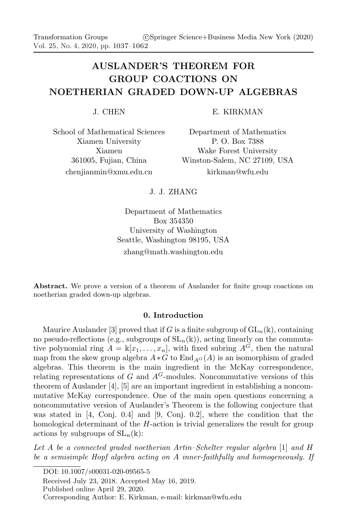# AUSLANDER'S THEOREM FOR GROUP COACTIONS ON NOETHERIAN GRADED DOWN-UP ALGEBRAS

J. CHEN

E. KIRKMAN

School of Mathematical Sciences Xiamen University Xiamen 361005, Fujian, China chenjianmin@xmu.edu.cn

Department of Mathematics P. O. Box 7388 Wake Forest University Winston-Salem, NC 27109, USA kirkman@wfu.edu

## J. J. ZHANG

Department of Mathematics Box 354350 University of Washington Seattle, Washington 98195, USA zhang@math.washington.edu

Abstract. We prove a version of a theorem of Auslander for finite group coactions on noetherian graded down-up algebras.

## 0. Introduction

Maurice Auslander [3] proved that if G is a finite subgroup of  $GL_n(\mathbb{k})$ , containing no pseudo-reflections (e.g., subgroups of  $SL_n(\mathbb{k})$ ), acting linearly on the commutative polynomial ring  $A = \mathbb{k}[x_1, \ldots, x_n]$ , with fixed subring  $A^{\tilde{G}}$ , then the natural map from the skew group algebra  $A * G$  to  $\text{End}_{A}G(A)$  is an isomorphism of graded algebras. This theorem is the main ingredient in the McKay correspondence, relating representations of G and  $A^G$ -modules. Noncommutative versions of this theorem of Auslander [4], [5] are an important ingredient in establishing a noncommutative McKay correspondence. One of the main open questions concerning a noncommutative version of Auslander's Theorem is the following conjecture that was stated in [4, Conj. 0.4] and [9, Conj. 0.2], where the condition that the homological determinant of the H-action is trivial generalizes the result for group actions by subgroups of  $SL_n(\mathbb{k})$ :

Let A be a connected graded noetherian Artin–Schelter regular algebra [1] and H be a semisimple Hopf algebra acting on A inner-faithfully and homogeneously. If

DOI: 10.1007/S00031-020-09565-5

Received July 23, 2018. Accepted May 16, 2019.

Published online April 29, 2020.

Corresponding Author: E. Kirkman, e-mail: kirkman@wfu.edu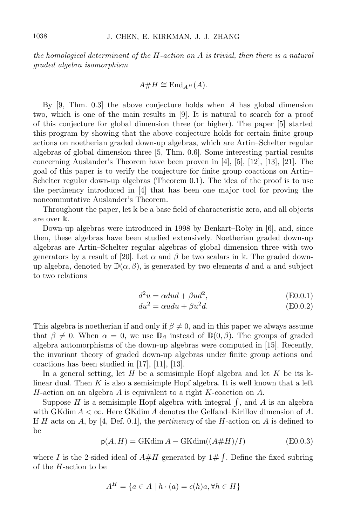the homological determinant of the  $H$ -action on  $A$  is trivial, then there is a natural graded algebra isomorphism

$$
A\#H \cong \mathrm{End}_{A^H}(A).
$$

By  $[9, Thm. 0.3]$  the above conjecture holds when A has global dimension two, which is one of the main results in [9]. It is natural to search for a proof of this conjecture for global dimension three (or higher). The paper [5] started this program by showing that the above conjecture holds for certain finite group actions on noetherian graded down-up algebras, which are Artin–Schelter regular algebras of global dimension three [5, Thm. 0.6]. Some interesting partial results concerning Auslander's Theorem have been proven in [4], [5], [12], [13], [21]. The goal of this paper is to verify the conjecture for finite group coactions on Artin– Schelter regular down-up algebras (Theorem 0.1). The idea of the proof is to use the pertinency introduced in [4] that has been one major tool for proving the noncommutative Auslander's Theorem.

Throughout the paper, let  $\Bbbk$  be a base field of characteristic zero, and all objects are over k.

Down-up algebras were introduced in 1998 by Benkart–Roby in [6], and, since then, these algebras have been studied extensively. Noetherian graded down-up algebras are Artin–Schelter regular algebras of global dimension three with two generators by a result of [20]. Let  $\alpha$  and  $\beta$  be two scalars in k. The graded downup algebra, denoted by  $\mathbb{D}(\alpha, \beta)$ , is generated by two elements d and u and subject to two relations

$$
d^2u = \alpha dud + \beta ud^2, \tag{E0.0.1}
$$

$$
du^2 = \alpha u du + \beta u^2 d. \tag{E0.0.2}
$$

This algebra is noetherian if and only if  $\beta \neq 0$ , and in this paper we always assume that  $\beta \neq 0$ . When  $\alpha = 0$ , we use  $\mathbb{D}_{\beta}$  instead of  $\mathbb{D}(0, \beta)$ . The groups of graded algebra automorphisms of the down-up algebras were computed in [15]. Recently, the invariant theory of graded down-up algebras under finite group actions and coactions has been studied in [17], [11], [13].

In a general setting, let H be a semisimple Hopf algebra and let K be its  $\Bbbk$ linear dual. Then  $K$  is also a semisimple Hopf algebra. It is well known that a left  $H$ -action on an algebra  $A$  is equivalent to a right  $K$ -coaction on  $A$ .

Suppose H is a semisimple Hopf algebra with integral  $\int$ , and A is an algebra with GKdim  $A < \infty$ . Here GKdim A denotes the Gelfand–Kirillov dimension of A. If H acts on A, by [4, Def. 0.1], the *pertinency* of the H-action on A is defined to be

$$
p(A, H) = \text{GKdim}\,A - \text{GKdim}((A \# H)/I) \tag{E0.0.3}
$$

where I is the 2-sided ideal of  $A\#H$  generated by  $1\# \int$ . Define the fixed subring of the H-action to be

$$
A^H = \{ a \in A \mid h \cdot (a) = \epsilon(h)a, \forall h \in H \}
$$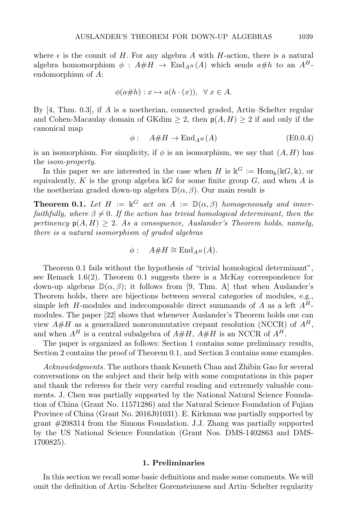where  $\epsilon$  is the counit of H. For any algebra A with H-action, there is a natural algebra homomorphism  $\phi : A \# H \to \text{End}_{A^H}(A)$  which sends  $a \# h$  to an  $A^H$ endomorphism of A:

$$
\phi(a\# h): x \mapsto a(h \cdot (x)), \ \ \forall \ x \in A.
$$

By [4, Thm. 0.3], if A is a noetherian, connected graded, Artin–Schelter regular and Cohen-Macaulay domain of GKdim  $\geq 2$ , then  $p(A, H) \geq 2$  if and only if the canonical map

$$
\phi: \quad A \# H \to \text{End}_{A^H}(A) \tag{E0.0.4}
$$

is an isomorphism. For simplicity, if  $\phi$  is an isomorphism, we say that  $(A, H)$  has the isom-property.

In this paper we are interested in the case when H is  $k^G := \text{Hom}_k(kG, k)$ , or equivalently, K is the group algebra  $\mathbb{K}G$  for some finite group G, and when A is the noetherian graded down-up algebra  $\mathbb{D}(\alpha,\beta)$ . Our main result is

**Theorem 0.1.** Let  $H := \mathbb{k}^G$  act on  $A := \mathbb{D}(\alpha, \beta)$  homogeneously and innerfaithfully, where  $\beta \neq 0$ . If the action has trivial homological determinant, then the pertinency  $p(A, H) \geq 2$ . As a consequence, Auslander's Theorem holds, namely, there is a natural isomorphism of graded algebras

$$
\phi: \quad A\#H \cong \mathrm{End}_{A^H}(A).
$$

Theorem 0.1 fails without the hypothesis of "trivial homological determinant", see Remark 1.6(2). Theorem 0.1 suggests there is a McKay correspondence for down-up algebras  $\mathbb{D}(\alpha,\beta)$ ; it follows from [9, Thm. A] that when Auslander's Theorem holds, there are bijections between several categories of modules, e.g., simple left H-modules and indecomposable direct summands of A as a left  $A<sup>H</sup>$ modules. The paper [22] shows that whenever Auslander's Theorem holds one can view  $A\#H$  as a generalized noncommutative crepant resolution (NCCR) of  $A^H$ , and when  $A^H$  is a central subalgebra of  $A\#H$ ,  $A\#H$  is an NCCR of  $A^H$ .

The paper is organized as follows: Section 1 contains some preliminary results, Section 2 contains the proof of Theorem 0.1, and Section 3 contains some examples.

Acknowledgments. The authors thank Kenneth Chan and Zhibin Gao for several conversations on the subject and their help with some computations in this paper and thank the referees for their very careful reading and extremely valuable comments. J. Chen was partially supported by the National Natural Science Foundation of China (Grant No. 11571286) and the Natural Science Foundation of Fujian Province of China (Grant No. 2016J01031). E. Kirkman was partially supported by grant #208314 from the Simons Foundation. J.J. Zhang was partially supported by the US National Science Foundation (Grant Nos. DMS-1402863 and DMS-1700825).

#### 1. Preliminaries

In this section we recall some basic definitions and make some comments. We will omit the definition of Artin–Schelter Gorensteinness and Artin–Schelter regularity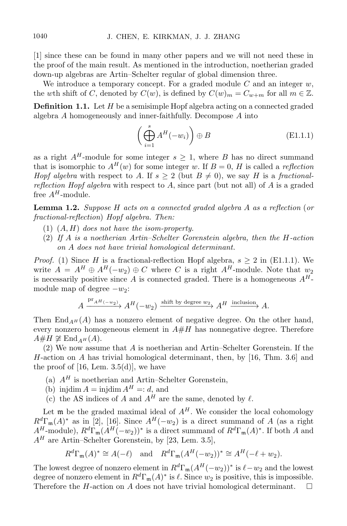[1] since these can be found in many other papers and we will not need these in the proof of the main result. As mentioned in the introduction, noetherian graded down-up algebras are Artin–Schelter regular of global dimension three.

We introduce a temporary concept. For a graded module  $C$  and an integer  $w$ , the wth shift of C, denoted by  $C(w)$ , is defined by  $C(w)_m = C_{w+m}$  for all  $m \in \mathbb{Z}$ .

**Definition 1.1.** Let  $H$  be a semisimple Hopf algebra acting on a connected graded algebra A homogeneously and inner-faithfully. Decompose A into

$$
\left(\bigoplus_{i=1}^{s} A^{H}(-w_{i})\right) \oplus B \tag{E1.1.1}
$$

as a right  $A^H$ -module for some integer  $s \geq 1$ , where B has no direct summand that is isomorphic to  $A^H(w)$  for some integer w. If  $B=0$ , H is called a reflection Hopf algebra with respect to A. If  $s \geq 2$  (but  $B \neq 0$ ), we say H is a fractionalreflection Hopf algebra with respect to  $A$ , since part (but not all) of  $A$  is a graded free  $A^H$ -module.

Lemma 1.2. Suppose H acts on a connected graded algebra A as a reflection (or fractional-reflection) Hopf algebra. Then:

- (1)  $(A, H)$  does not have the isom-property.
- (2) If A is a noetherian Artin–Schelter Gorenstein algebra, then the H-action on A does not have trivial homological determinant.

*Proof.* (1) Since H is a fractional-reflection Hopf algebra,  $s > 2$  in (E1.1.1). We write  $A = A^H \oplus A^H(-w_2) \oplus C$  where C is a right  $A^H$ -module. Note that w is necessarily positive since A is connected graded. There is a homogeneous  $A^H$ module map of degree  $-w_2$ :

$$
A \xrightarrow{\text{pr}_{A^H(-w_2)}} A^H(-w_2) \xrightarrow{\text{shift by degree } w_2} A^H \xrightarrow{\text{inclusion}} A.
$$

Then End<sub>AH</sub>(A) has a nonzero element of negative degree. On the other hand, every nonzero homogeneous element in  $A\#H$  has nonnegative degree. Therefore  $A#H \not\cong$  End<sub>AH</sub> (A).

(2) We now assume that A is noetherian and Artin–Schelter Gorenstein. If the H-action on A has trivial homological determinant, then, by [16, Thm. 3.6] and the proof of  $[16, \text{ Lem. } 3.5(d)]$ , we have

- (a)  $A<sup>H</sup>$  is noetherian and Artin–Schelter Gorenstein,
- (b) injdim  $A = \text{injdim } A^H =: d$ , and
- (c) the AS indices of A and  $A^H$  are the same, denoted by  $\ell$ .

Let  $\mathfrak m$  be the graded maximal ideal of  $A^H$ . We consider the local cohomology  $R^d\Gamma_{\mathfrak{m}}(A)^*$  as in [2], [16]. Since  $A^H(-w_2)$  is a direct summand of A (as a right  $A^H$ -module),  $R^d\Gamma_{\mathfrak{m}}(A^H(-w_2))^*$  is a direct summand of  $R^d\Gamma_{\mathfrak{m}}(A)^*$ . If both A and  $A<sup>H</sup>$  are Artin–Schelter Gorenstein, by [23, Lem. 3.5],

$$
R^d\Gamma_m(A)^* \cong A(-\ell)
$$
 and  $R^d\Gamma_m(A^H(-w_2))^* \cong A^H(-\ell+w_2)$ .

The lowest degree of nonzero element in  $R^d\Gamma_{\mathfrak{m}}(A^H(-w_2))^*$  is  $\ell-w_2$  and the lowest degree of nonzero element in  $R^d\Gamma_{\mathfrak{m}}(A)^*$  is  $\ell$ . Since  $w_2$  is positive, this is impossible. Therefore the H-action on A does not have trivial homological determinant.  $\square$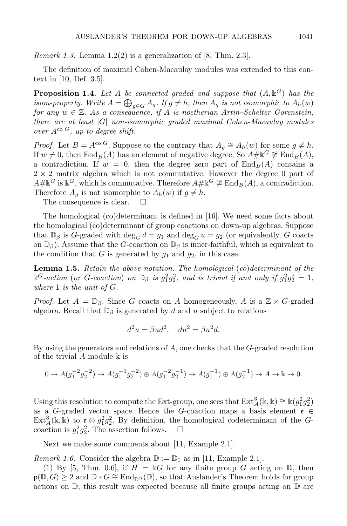*Remark 1.3.* Lemma 1.2(2) is a generalization of [8, Thm. 2.3].

The definition of maximal Cohen-Macaulay modules was extended to this context in [10, Def. 3.5].

**Proposition 1.4.** Let A be connected graded and suppose that  $(A, \mathbb{k}^G)$  has the isom-property. Write  $A=\bigoplus_{g\in G}A_g.$  If  $g\neq h,$  then  $A_g$  is not isomorphic to  $A_h(w)$ for any  $w \in \mathbb{Z}$ . As a consequence, if A is noetherian Artin–Schelter Gorenstein, there are at least  $|G|$  non-isomorphic graded maximal Cohen-Macaulay modules over  $A^{co}$  G, up to degree shift.

*Proof.* Let  $B = A^{\text{co }G}$ . Suppose to the contrary that  $A_g \cong A_h(w)$  for some  $g \neq h$ . If  $w \neq 0$ , then  $\text{End}_B(A)$  has an element of negative degree. So  $A# \mathbb{K}^G \not\cong \text{End}_B(A)$ , a contradiction. If  $w = 0$ , then the degree zero part of  $\text{End}_B(A)$  contains a  $2 \times 2$  matrix algebra which is not commutative. However the degree 0 part of  $A\# \mathbb{K}^G$  is  $\mathbb{K}^G$ , which is commutative. Therefore  $A\# \mathbb{K}^G \not\cong \text{End}_B(A)$ , a contradiction. Therefore  $A_g$  is not isomorphic to  $A_h(w)$  if  $g \neq h$ .

The consequence is clear.  $\square$ 

The homological (co)determinant is defined in [16]. We need some facts about the homological (co)determinant of group coactions on down-up algebras. Suppose that  $\mathbb{D}_{\beta}$  is G-graded with  $\deg_G d = g_1$  and  $\deg_G u = g_2$  (or equivalently, G coacts on  $\mathbb{D}_{\beta}$ ). Assume that the G-coaction on  $\mathbb{D}_{\beta}$  is inner-faithful, which is equivalent to the condition that G is generated by  $g_1$  and  $g_2$ , in this case.

**Lemma 1.5.** Retain the above notation. The homological  $(co)$  determinant of the  $\mathbb{k}^G$ -action (or G-coaction) on  $\mathbb{D}_{\beta}$  is  $g_1^2g_2^2$ , and is trivial if and only if  $g_1^2g_2^2=1$ , where  $1$  is the unit of  $G$ .

*Proof.* Let  $A = \mathbb{D}_{\beta}$ . Since G coacts on A homogeneously, A is a  $\mathbb{Z} \times G$ -graded algebra. Recall that  $\mathbb{D}_{\beta}$  is generated by d and u subject to relations

$$
d^2u = \beta ud^2, \quad du^2 = \beta u^2d.
$$

By using the generators and relations of  $A$ , one checks that the  $G$ -graded resolution of the trivial  $A$ -module  $\Bbbk$  is

$$
0 \to A(g_1^{-2}g_2^{-2}) \to A(g_1^{-1}g_2^{-2}) \oplus A(g_1^{-2}g_2^{-1}) \to A(g_1^{-1}) \oplus A(g_2^{-1}) \to A \to \mathbb{k} \to 0.
$$

Using this resolution to compute the Ext-group, one sees that  $\text{Ext}_{A}^{3}(\mathbb{k}, \mathbb{k}) \cong \mathbb{k}(g_1^2 g_2^2)$ as a G-graded vector space. Hence the G-coaction maps a basis element  $\mathfrak{e} \in$  $\text{Ext}_{A}^{3}(\mathbb{k}, \mathbb{k})$  to  $\mathfrak{e} \otimes g_{1}^{2}g_{2}^{2}$ . By definition, the homological codeterminant of the Gcoaction is  $g_1^2 g_2^2$ . The assertion follows.  $\square$ 

Next we make some comments about [11, Example 2.1].

*Remark 1.6.* Consider the algebra  $\mathbb{D} := \mathbb{D}_1$  as in [11, Example 2.1].

(1) By [5, Thm. 0.6], if  $H = \mathbb{k}G$  for any finite group G acting on  $\mathbb{D}$ , then  $p(\mathbb{D}, G) \geq 2$  and  $\mathbb{D} * G \cong \text{End}_{\mathbb{D}^G}(\mathbb{D})$ , so that Auslander's Theorem holds for group actions on  $\mathbb{D}$ ; this result was expected because all finite groups acting on  $\mathbb{D}$  are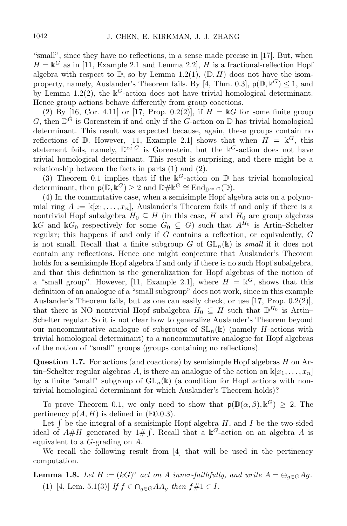"small", since they have no reflections, in a sense made precise in [17]. But, when  $H = \mathbb{k}^G$  as in [11, Example 2.1 and Lemma 2.2], H is a fractional-reflection Hopf algebra with respect to  $\mathbb D$ , so by Lemma 1.2(1),  $(\mathbb D, H)$  does not have the isomproperty, namely, Auslander's Theorem fails. By [4, Thm. 0.3],  $p(\mathbb{D}, \mathbb{k}^G) \leq 1$ , and by Lemma 1.2(2), the  $k^G$ -action does not have trivial homological determinant. Hence group actions behave differently from group coactions.

(2) By [16, Cor. 4.11] or [17, Prop. 0.2(2)], if  $H = \mathbb{k}G$  for some finite group G, then  $\mathbb{D}^G$  is Gorenstein if and only if the G-action on  $\mathbb D$  has trivial homological determinant. This result was expected because, again, these groups contain no reflections of D. However, [11, Example 2.1] shows that when  $H = \mathbb{k}^G$ , this statement fails, namely,  $\mathbb{D}^{co} G$  is Gorenstein, but the  $k^G$ -action does not have trivial homological determinant. This result is surprising, and there might be a relationship between the facts in parts (1) and (2).

(3) Theorem 0.1 implies that if the  $k^G$ -action on  $D$  has trivial homological determinant, then  $p(\mathbb{D}, \mathbb{k}^G) \geq 2$  and  $\mathbb{D} \# \mathbb{k}^G \cong \text{End}_{\mathbb{D}^{co}} G(\mathbb{D})$ .

(4) In the commutative case, when a semisimple Hopf algebra acts on a polynomial ring  $A := \mathbb{k}[x_1, \ldots, x_n]$ , Auslander's Theorem fails if and only if there is a nontrivial Hopf subalgebra  $H_0 \subseteq H$  (in this case, H and  $H_0$  are group algebras  $\Bbbk G$  and  $\Bbbk G_0$  respectively for some  $G_0 \subseteq G$ ) such that  $A^{H_0}$  is Artin–Schelter regular; this happens if and only if  $G$  contains a reflection, or equivalently,  $G$ is not small. Recall that a finite subgroup G of  $GL_n(\mathbb{k})$  is small if it does not contain any reflections. Hence one might conjecture that Auslander's Theorem holds for a semisimple Hopf algebra if and only if there is no such Hopf subalgebra, and that this definition is the generalization for Hopf algebras of the notion of a "small group". However, [11, Example 2.1], where  $H = \mathbb{k}^G$ , shows that this definition of an analogue of a "small subgroup" does not work, since in this example Auslander's Theorem fails, but as one can easily check, or use [17, Prop. 0.2(2)], that there is NO nontrivial Hopf subalgebra  $H_0 \subseteq H$  such that  $\mathbb{D}^{H_0}$  is Artin-Schelter regular. So it is not clear how to generalize Auslander's Theorem beyond our noncommutative analogue of subgroups of  $SL_n(\mathbb{k})$  (namely H-actions with trivial homological determinant) to a noncommutative analogue for Hopf algebras of the notion of "small" groups (groups containing no reflections).

**Question 1.7.** For actions (and coactions) by semisimple Hopf algebras  $H$  on Artin–Schelter regular algebras A, is there an analogue of the action on  $\mathbb{K}[x_1, \ldots, x_n]$ by a finite "small" subgroup of  $GL_n(\mathbb{k})$  (a condition for Hopf actions with nontrivial homological determinant for which Auslander's Theorem holds)?

To prove Theorem 0.1, we only need to show that  $p(\mathbb{D}(\alpha,\beta),\mathbb{k}^G) \geq 2$ . The pertinency  $p(A, H)$  is defined in (E0.0.3).

Let  $\int$  be the integral of a semisimple Hopf algebra  $H$ , and  $I$  be the two-sided ideal of  $A\#H$  generated by  $1\# \int$ . Recall that a  $\mathbb{k}^G$ -action on an algebra A is equivalent to a G-grading on A.

We recall the following result from [4] that will be used in the pertinency computation.

**Lemma 1.8.** Let  $H := (kG)^{\circ}$  act on A inner-faithfully, and write  $A = \bigoplus_{g \in G} Ag$ . (1) [4, Lem. 5.1(3)] If  $f \in \bigcap_{g \in G} AA_g$  then  $f \# 1 \in I$ .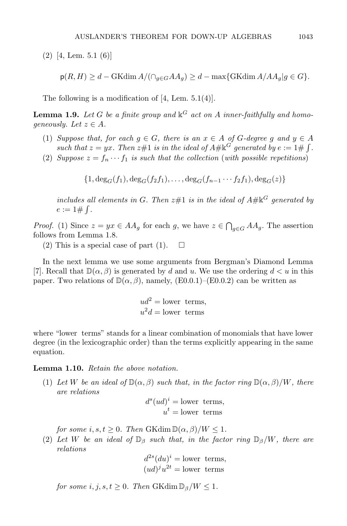(2) [4, Lem. 5.1 (6)]

$$
\mathsf{p}(R, H) \ge d - \text{GKdim}\,A / (\cap_{g \in G} A A_g) \ge d - \max\{\text{GKdim}\,A / A A_g | g \in G\}.
$$

The following is a modification of [4, Lem. 5.1(4)].

**Lemma 1.9.** Let G be a finite group and  $\mathbb{k}^G$  act on A inner-faithfully and homogeneously. Let  $z \in A$ .

- (1) Suppose that, for each  $g \in G$ , there is an  $x \in A$  of G-degree g and  $y \in A$ such that  $z = yx$ . Then  $z \# 1$  is in the ideal of  $A \# \mathbb{K}^G$  generated by  $e := 1 \# \int$ .
- (2) Suppose  $z = f_n \cdots f_1$  is such that the collection (with possible repetitions)

 $\{1, \deg_G(f_1), \deg_G(f_2f_1), \ldots, \deg_G(f_{n-1} \cdots f_2f_1), \deg_G(z)\}\$ 

includes all elements in G. Then  $z\#1$  is in the ideal of  $A\#k^G$  generated by  $e := 1 \# \int$ .

*Proof.* (1) Since  $z = yx \in AA_g$  for each g, we have  $z \in \bigcap_{g \in G} AA_g$ . The assertion follows from Lemma 1.8.

(2) This is a special case of part (1).  $\Box$ 

In the next lemma we use some arguments from Bergman's Diamond Lemma [7]. Recall that  $\mathbb{D}(\alpha, \beta)$  is generated by d and u. We use the ordering  $d \lt u$  in this paper. Two relations of  $\mathbb{D}(\alpha, \beta)$ , namely, (E0.0.1)–(E0.0.2) can be written as

$$
ud^2 = \text{lower terms},
$$
  

$$
u^2d = \text{lower terms}
$$

where "lower terms" stands for a linear combination of monomials that have lower degree (in the lexicographic order) than the terms explicitly appearing in the same equation.

#### Lemma 1.10. Retain the above notation.

(1) Let W be an ideal of  $\mathbb{D}(\alpha, \beta)$  such that, in the factor ring  $\mathbb{D}(\alpha, \beta)/W$ , there are relations

$$
d^{s}(ud)^{i} = \text{lower terms},
$$
  

$$
u^{t} = \text{lower terms}
$$

for some i, s,  $t > 0$ . Then  $GK\dim \mathbb{D}(\alpha, \beta)/W \leq 1$ .

(2) Let W be an ideal of  $\mathbb{D}_{\beta}$  such that, in the factor ring  $\mathbb{D}_{\beta}/W$ , there are relations

$$
d^{2s}(du)^i = \text{lower terms},
$$
  

$$
(ud)^j u^{2t} = \text{lower terms}
$$

for some  $i, j, s, t \geq 0$ . Then GKdim  $\mathbb{D}_{\beta}/W \leq 1$ .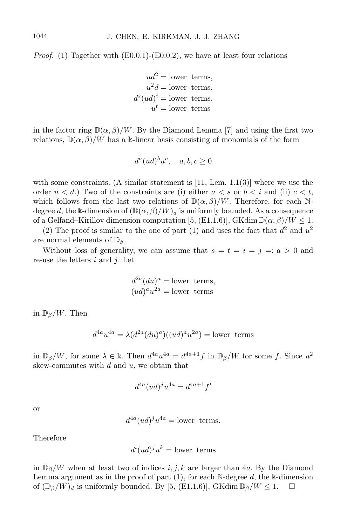*Proof.* (1) Together with  $(E0.0.1)$ - $(E0.0.2)$ , we have at least four relations

 $ud^2 =$ lower terms.  $u^2d =$ lower terms,  $d^s (ud)^i =$  lower terms,  $u^t =$ lower terms

in the factor ring  $\mathbb{D}(\alpha, \beta)/W$ . By the Diamond Lemma [7] and using the first two relations,  $\mathbb{D}(\alpha,\beta)/W$  has a k-linear basis consisting of monomials of the form

$$
d^a (ud)^b u^c, \quad a, b, c \ge 0
$$

with some constraints. (A similar statement is  $[11, \text{ Lem. } 1.1(3)]$  where we use the order  $u < d$ .) Two of the constraints are (i) either  $a < s$  or  $b < i$  and (ii)  $c < t$ , which follows from the last two relations of  $\mathbb{D}(\alpha,\beta)/W$ . Therefore, for each Ndegree d, the k-dimension of  $(\mathbb{D}(\alpha,\beta)/W)_d$  is uniformly bounded. As a consequence of a Gelfand–Kirillov dimension computation [5, (E1.1.6)], GKdim  $\mathbb{D}(\alpha,\beta)/W \leq 1$ .

(2) The proof is similar to the one of part (1) and uses the fact that  $d^2$  and  $u^2$ are normal elements of  $\mathbb{D}_\beta$ .

Without loss of generality, we can assume that  $s = t = i = j =: a > 0$  and re-use the letters  $i$  and  $j$ . Let

$$
d^{2a}(du)^a = \text{lower terms},
$$
  

$$
(ud)^a u^{2a} = \text{lower terms}
$$

in  $\mathbb{D}_{\beta}/W$ . Then

$$
d^{4a}u^{4a} = \lambda (d^{2a}(du)^a)((ud)^a u^{2a}) =
$$
lower terms

in  $\mathbb{D}_{\beta}/W$ , for some  $\lambda \in \mathbb{k}$ . Then  $d^{4a}u^{4a} = d^{4a+1}f$  in  $\mathbb{D}_{\beta}/W$  for some f. Since  $u^2$ skew-commutes with  $d$  and  $u$ , we obtain that

$$
d^{4a}(ud)^j u^{4a} = d^{4a+1} f'
$$

or

$$
d^{4a}(ud)^j u^{4a} = \text{lower terms.}
$$

Therefore

$$
d^i(ud)^j u^k = \text{lower terms}
$$

in  $\mathbb{D}_{\beta}/W$  when at least two of indices i, j, k are larger than 4a. By the Diamond Lemma argument as in the proof of part  $(1)$ , for each N-degree d, the k-dimension of  $(\mathbb{D}_{\beta}/W)_{d}$  is uniformly bounded. By [5, (E1.1.6)], GKdim  $\mathbb{D}_{\beta}/W \leq 1$ .

1044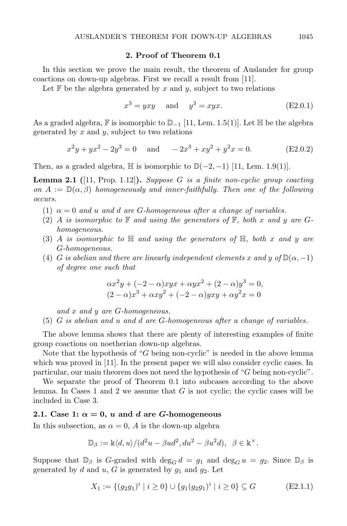#### 2. Proof of Theorem 0.1

In this section we prove the main result, the theorem of Auslander for group coactions on down-up algebras. First we recall a result from [11].

Let  $\mathbb F$  be the algebra generated by x and y, subject to two relations

$$
x^3 = yxy \quad \text{and} \quad y^3 = xyx. \tag{E2.0.1}
$$

As a graded algebra,  $\mathbb F$  is isomorphic to  $\mathbb D_{-1}$  [11, Lem. 1.5(1)]. Let  $\mathbb H$  be the algebra generated by  $x$  and  $y$ , subject to two relations

$$
x^{2}y + yx^{2} - 2y^{3} = 0 \quad \text{and} \quad -2x^{3} + xy^{2} + y^{2}x = 0. \quad (E2.0.2)
$$

Then, as a graded algebra,  $\mathbb{H}$  is isomorphic to  $\mathbb{D}(-2, -1)$  [11, Lem. 1.9(1)].

**Lemma 2.1** ([11, Prop. 1.12]). Suppose G is a finite non-cyclic group coacting on  $A := \mathbb{D}(\alpha, \beta)$  homogeneously and inner-faithfully. Then one of the following occurs.

- (1)  $\alpha = 0$  and u and d are G-homogeneous after a change of variables.
- (2) A is isomorphic to  $\mathbb F$  and using the generators of  $\mathbb F$ , both x and y are Ghomogeneous.
- (3) A is isomorphic to  $\mathbb H$  and using the generators of  $\mathbb H$ , both x and y are G-homogeneous.
- (4) G is abelian and there are linearly independent elements x and y of  $\mathbb{D}(\alpha, -1)$ of degree one such that

$$
\alpha x^{2}y + (-2 - \alpha)xyx + \alpha yx^{2} + (2 - \alpha)y^{3} = 0,(2 - \alpha)x^{3} + \alpha xy^{2} + (-2 - \alpha)yxy + \alpha y^{2}x = 0
$$

and x and y are G-homogeneous.

(5) G is abelian and u and d are G-homogeneous after a change of variables.

The above lemma shows that there are plenty of interesting examples of finite group coactions on noetherian down-up algebras.

Note that the hypothesis of "G being non-cyclic" is needed in the above lemma which was proved in [11]. In the present paper we will also consider cyclic cases. In particular, our main theorem does not need the hypothesis of "G being non-cyclic".

We separate the proof of Theorem 0.1 into subcases according to the above lemma. In Cases 1 and 2 we assume that  $G$  is not cyclic; the cyclic cases will be included in Case 3.

### 2.1. Case 1:  $\alpha = 0$ , u and d are G-homogeneous

In this subsection, as  $\alpha = 0$ , A is the down-up algebra

$$
\mathbb{D}_{\beta} := \mathbb{k} \langle d, u \rangle / (d^2 u - \beta u d^2, du^2 - \beta u^2 d), \ \ \beta \in \mathbb{k}^{\times}.
$$

Suppose that  $\mathbb{D}_{\beta}$  is G-graded with  $\deg_{G} d = g_1$  and  $\deg_{G} u = g_2$ . Since  $\mathbb{D}_{\beta}$  is generated by d and u, G is generated by  $g_1$  and  $g_2$ . Let

$$
X_1 := \{ (g_2 g_1)^i \mid i \ge 0 \} \cup \{ g_1 (g_2 g_1)^i \mid i \ge 0 \} \subseteq G \tag{E2.1.1}
$$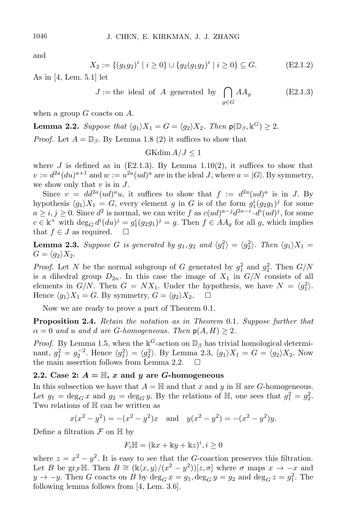and

$$
X_2 := \{ (g_1 g_2)^i \mid i \ge 0 \} \cup \{ g_2 (g_1 g_2)^i \mid i \ge 0 \} \subseteq G. \tag{E2.1.2}
$$

As in [4, Lem. 5.1] let

$$
J := \text{the ideal of } A \text{ generated by } \bigcap_{g \in G} AA_g \tag{E2.1.3}
$$

when a group  $G$  coacts on  $A$ .

**Lemma 2.2.** Suppose that  $\langle g_1 \rangle X_1 = G = \langle g_2 \rangle X_2$ . Then  $p(\mathbb{D}_{\beta}, \mathbb{k}^G) \geq 2$ .

*Proof.* Let  $A = \mathbb{D}_{\beta}$ . By Lemma 1.8 (2) it suffices to show that

$$
GKdim A/J \le 1
$$

where J is defined as in  $(E2.1.3)$ . By Lemma 1.10(2), it suffices to show that  $v := d^{2a}(du)^{a+1}$  and  $w := u^{2a}(ud)^a$  are in the ideal J, where  $a = |G|$ . By symmetry, we show only that  $v$  is in  $J$ .

Since  $v = dd^{2a}(ud)^{a}u$ , it suffices to show that  $f := d^{2a}(ud)^{a}$  is in J. By hypothesis  $\langle g_1 \rangle X_1 = G$ , every element g in G is of the form  $g_1^i(g_2g_1)^j$  for some  $a \geq i, j \geq 0$ . Since  $d^2$  is normal, we can write f as  $c(ud)^{a-j}d^{2a-i} \cdot d^i(ud)^j$ , for some  $c \in \mathbb{k}^{\times}$  with  $\deg_G d^i(du)^j = g_1^i(g_2g_1)^j = g$ . Then  $f \in AA_g$  for all g, which implies that  $f \in J$  as required.  $\square$ 

**Lemma 2.3.** Suppose G is generated by  $g_1, g_2$  and  $\langle g_1^2 \rangle = \langle g_2^2 \rangle$ . Then  $\langle g_1 \rangle X_1 =$  $G = \langle g_2 \rangle X_2.$ 

*Proof.* Let N be the normal subgroup of G generated by  $g_1^2$  and  $g_2^2$ . Then  $G/N$ is a dihedral group  $D_{2n}$ . In this case the image of  $X_1$  in  $G/N$  consists of all elements in  $G/N$ . Then  $G = N X_1$ . Under the hypothesis, we have  $N = \langle g_1^2 \rangle$ . Hence  $\langle q_1 \rangle X_1 = G$ . By symmetry,  $G = \langle q_2 \rangle X_2$ .  $\Box$ 

Now we are ready to prove a part of Theorem 0.1.

Proposition 2.4. Retain the notation as in Theorem 0.1. Suppose further that  $\alpha = 0$  and u and d are G-homogeneous. Then  $p(A, H) \geq 2$ .

*Proof.* By Lemma 1.5, when the  $\mathbb{k}^G$ -action on  $\mathbb{D}_{\beta}$  has trivial homological determinant,  $g_1^2 = g_2^{-2}$ . Hence  $\langle g_1^2 \rangle = \langle g_2^2 \rangle$ . By Lemma 2.3,  $\langle g_1 \rangle X_1 = G = \langle g_2 \rangle X_2$ . Now the main assertion follows from Lemma 2.2.  $\Box$ 

#### 2.2. Case 2:  $A = \mathbb{H}$ , x and y are G-homogeneous

In this subsection we have that  $A = \mathbb{H}$  and that x and y in  $\mathbb{H}$  are G-homogeneous. Let  $g_1 = \deg_G x$  and  $g_2 = \deg_G y$ . By the relations of  $\mathbb{H}$ , one sees that  $g_1^2 = g_2^2$ . Two relations of H can be written as

$$
x(x^2 - y^2) = -(x^2 - y^2)x
$$
 and  $y(x^2 - y^2) = -(x^2 - y^2)y$ .

Define a filtration  $\mathcal F$  on  $\mathbb H$  by

$$
F_i\mathbb{H} = (\mathbb{k}x + \mathbb{k}y + \mathbb{k}z)^i, i \ge 0
$$

where  $z = x^2 - y^2$ . It is easy to see that the G-coaction preserves this filtration. Let B be gr<sub>F</sub>H. Then  $B \cong (\mathbb{k}\langle x,y\rangle/((x^2-y^2))[z,\sigma]$  where  $\sigma$  maps  $x \to -x$  and  $y \to -y$ . Then G coacts on B by  $\deg_G x = g_1, \deg_G y = g_2$  and  $\deg_G z = g_1^2$ . The following lemma follows from [4, Lem. 3.6].

1046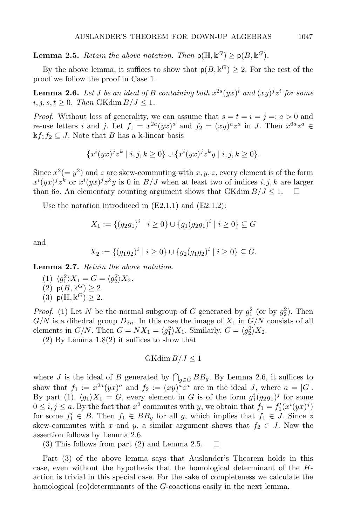**Lemma 2.5.** Retain the above notation. Then  $p(\mathbb{H}, \mathbb{k}^G) \ge p(B, \mathbb{k}^G)$ .

By the above lemma, it suffices to show that  $p(B, \mathbb{k}^G) \geq 2$ . For the rest of the proof we follow the proof in Case 1.

**Lemma 2.6.** Let J be an ideal of B containing both  $x^{2s}(yx)^i$  and  $(xy)^jz^t$  for some  $i, j, s, t \geq 0$ . Then GKdim  $B/J \leq 1$ .

*Proof.* Without loss of generality, we can assume that  $s = t = i = j =: a > 0$  and re-use letters *i* and *j*. Let  $f_1 = x^{2a}(yx)^a$  and  $f_2 = (xy)^a z^a$  in *J*. Then  $x^{6a} z^a \in$  $\mathbf{k}f_1f_2 \subseteq J$ . Note that *B* has a k-linear basis

$$
\{x^{i}(yx)^{j}z^{k} \mid i, j, k \ge 0\} \cup \{x^{i}(yx)^{j}z^{k}y \mid i, j, k \ge 0\}.
$$

Since  $x^2 (= y^2)$  and z are skew-commuting with  $x, y, z$ , every element is of the form  $x^{i}(yx)^{j}z^{k}$  or  $x^{i}(yx)^{j}z^{k}y$  is 0 in  $B/J$  when at least two of indices  $i, j, k$  are larger than 6a. An elementary counting argument shows that GKdim  $B/J \leq 1$ .  $\Box$ 

Use the notation introduced in (E2.1.1) and (E2.1.2):

$$
X_1 := \{ (g_2g_1)^i \mid i \ge 0 \} \cup \{ g_1(g_2g_1)^i \mid i \ge 0 \} \subseteq G
$$

and

$$
X_2 := \{ (g_1g_2)^i \mid i \geq 0 \} \cup \{ g_2(g_1g_2)^i \mid i \geq 0 \} \subseteq G.
$$

Lemma 2.7. Retain the above notation.

(1)  $\langle g_1^2 \rangle X_1 = G = \langle g_2^2 \rangle X_2$ . (2)  $p(B, \mathbb{k}^G) \ge 2$ . (3)  $p(\mathbb{H}, \mathbb{k}^G) \geq 2$ .

*Proof.* (1) Let N be the normal subgroup of G generated by  $g_1^2$  (or by  $g_2^2$ ). Then  $G/N$  is a dihedral group  $D_{2n}$ . In this case the image of  $X_1$  in  $G/N$  consists of all elements in  $G/N$ . Then  $G = N X_1 = \langle g_1^2 \rangle X_1$ . Similarly,  $G = \langle g_2^2 \rangle X_2$ .

 $(2)$  By Lemma  $1.8(2)$  it suffices to show that

$$
GK\dim B/J\leq 1
$$

where J is the ideal of B generated by  $\bigcap_{g\in G} BB_g$ . By Lemma 2.6, it suffices to show that  $f_1 := x^{2a}(yx)^a$  and  $f_2 := (xy)^a z^a$  are in the ideal J, where  $a = |G|$ . By part (1),  $\langle g_1 \rangle X_1 = G$ , every element in G is of the form  $g_1^i(g_2g_1)^j$  for some  $0 \leq i, j \leq a$ . By the fact that  $x^2$  commutes with y, we obtain that  $f_1 = f'_1(x^i(yx)^j)$ for some  $f_1' \in B$ . Then  $f_1 \in BB_g$  for all g, which implies that  $f_1 \in J$ . Since z skew-commutes with x and y, a similar argument shows that  $f_2 \in J$ . Now the assertion follows by Lemma 2.6.

(3) This follows from part (2) and Lemma 2.5.  $\Box$ 

Part (3) of the above lemma says that Auslander's Theorem holds in this case, even without the hypothesis that the homological determinant of the Haction is trivial in this special case. For the sake of completeness we calculate the homological (co)determinants of the G-coactions easily in the next lemma.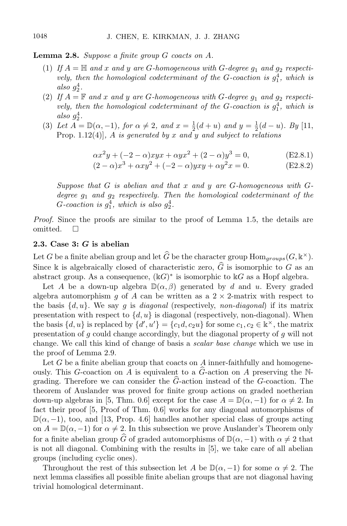**Lemma 2.8.** Suppose a finite group  $G$  coacts on  $A$ .

- (1) If  $A = \mathbb{H}$  and x and y are G-homogeneous with G-degree  $g_1$  and  $g_2$  respectively, then the homological codeterminant of the G-coaction is  $g_1^4$ , which is also  $g_2^4$ .
- (2) If  $A = \mathbb{F}$  and x and y are G-homogeneous with G-degree  $g_1$  and  $g_2$  respectively, then the homological codeterminant of the G-coaction is  $g_1^4$ , which is also  $g_2^4$ .
- (3) Let  $A = \mathbb{D}(\alpha, -1)$ , for  $\alpha \neq 2$ , and  $x = \frac{1}{2}(d+u)$  and  $y = \frac{1}{2}(d-u)$ . By [11, Prop. 1.12(4)], A is generated by x and y and subject to relations

$$
\alpha x^2 y + (-2 - \alpha)xyx + \alpha yx^2 + (2 - \alpha)y^3 = 0,
$$
 (E2.8.1)

$$
(2 - \alpha)x^{3} + \alpha xy^{2} + (-2 - \alpha)yxy + \alpha y^{2}x = 0.
$$
 (E2.8.2)

Suppose that  $G$  is abelian and that  $x$  and  $y$  are  $G$ -homogeneous with  $G$ degree  $g_1$  and  $g_2$  respectively. Then the homological codeterminant of the G-coaction is  $g_1^4$ , which is also  $g_2^4$ .

Proof. Since the proofs are similar to the proof of Lemma 1.5, the details are omitted.  $\square$ 

### 2.3. Case 3: G is abelian

Let G be a finite abelian group and let  $\widehat{G}$  be the character group  $\text{Hom}_{groups}(G, \mathbb{k}^{\times}).$ Since k is algebraically closed of characteristic zero,  $\hat{G}$  is isomorphic to G as an abstract group. As a consequence,  $(\Bbbk G)^*$  is isomorphic to  $\Bbbk G$  as a Hopf algebra.

Let A be a down-up algebra  $\mathbb{D}(\alpha,\beta)$  generated by d and u. Every graded algebra automorphism g of A can be written as a  $2 \times 2$ -matrix with respect to the basis  $\{d, u\}$ . We say g is *diagonal* (respectively, non-diagonal) if its matrix presentation with respect to  $\{d, u\}$  is diagonal (respectively, non-diagonal). When the basis  $\{d, u\}$  is replaced by  $\{d', u'\} = \{c_1d, c_2u\}$  for some  $c_1, c_2 \in \mathbb{k}^\times$ , the matrix presentation of g could change accordingly, but the diagonal property of g will not change. We call this kind of change of basis a scalar base change which we use in the proof of Lemma 2.9.

Let G be a finite abelian group that coacts on A inner-faithfully and homogeneously. This G-coaction on A is equivalent to a  $\hat{G}$ -action on A preserving the Ngrading. Therefore we can consider the  $G$ -action instead of the  $G$ -coaction. The theorem of Auslander was proved for finite group actions on graded noetherian down-up algebras in [5, Thm. 0.6] except for the case  $A = \mathbb{D}(\alpha, -1)$  for  $\alpha \neq 2$ . In fact their proof [5, Proof of Thm. 0.6] works for any diagonal automorphisms of  $\mathbb{D}(\alpha, -1)$ , too, and [13, Prop. 4.6] handles another special class of groups acting on  $A = \mathbb{D}(\alpha, -1)$  for  $\alpha \neq 2$ . In this subsection we prove Auslander's Theorem only for a finite abelian group  $\widehat{G}$  of graded automorphisms of  $\mathbb{D}(\alpha, -1)$  with  $\alpha \neq 2$  that is not all diagonal. Combining with the results in [5], we take care of all abelian groups (including cyclic ones).

Throughout the rest of this subsection let A be  $\mathbb{D}(\alpha, -1)$  for some  $\alpha \neq 2$ . The next lemma classifies all possible finite abelian groups that are not diagonal having trivial homological determinant.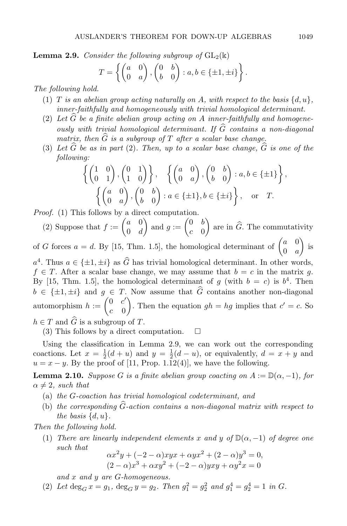**Lemma 2.9.** Consider the following subgroup of  $GL_2(\mathbb{k})$ 

$$
T = \left\{ \begin{pmatrix} a & 0 \\ 0 & a \end{pmatrix}, \begin{pmatrix} 0 & b \\ b & 0 \end{pmatrix} : a, b \in \{\pm 1, \pm i\} \right\}.
$$

The following hold.

- (1) T is an abelian group acting naturally on A, with respect to the basis  $\{d, u\}$ . inner-faithfully and homogeneously with trivial homological determinant.
- (2) Let  $\widehat{G}$  be a finite abelian group acting on A inner-faithfully and homogeneously with trivial homological determinant. If  $\widehat{G}$  contains a non-diagonal matrix, then  $\hat{G}$  is a subgroup of T after a scalar base change.
- (3) Let  $\widehat{G}$  be as in part (2). Then, up to a scalar base change,  $\widehat{G}$  is one of the following:

$$
\left\{ \begin{pmatrix} 1 & 0 \\ 0 & 1 \end{pmatrix}, \begin{pmatrix} 0 & 1 \\ 1 & 0 \end{pmatrix} \right\}, \quad \left\{ \begin{pmatrix} a & 0 \\ 0 & a \end{pmatrix}, \begin{pmatrix} 0 & b \\ b & 0 \end{pmatrix} : a, b \in \{\pm 1\} \right\},\
$$

$$
\left\{ \begin{pmatrix} a & 0 \\ 0 & a \end{pmatrix}, \begin{pmatrix} 0 & b \\ b & 0 \end{pmatrix} : a \in \{\pm 1\}, b \in \{\pm i\} \right\}, \quad \text{or} \quad T.
$$

Proof. (1) This follows by a direct computation.

(2) Suppose that  $f := \begin{pmatrix} a & 0 \\ 0 & d \end{pmatrix}$  $0 \quad d$ ) and  $g := \begin{pmatrix} 0 & b \\ 0 & 0 \end{pmatrix}$  $c \quad 0$ ) are in  $\widehat{G}$ . The commutativity

of G forces  $a = d$ . By [15, Thm. 1.5], the homological determinant of  $\begin{pmatrix} a & 0 \\ 0 & a \end{pmatrix}$  $0 \quad a$  $\big)$  is  $a^4$ . Thus  $a \in {\pm 1, \pm i}$  as  $\hat{G}$  has trivial homological determinant. In other words,  $f \in T$ . After a scalar base change, we may assume that  $b = c$  in the matrix q. By [15, Thm. 1.5], the homological determinant of g (with  $b = c$ ) is  $b<sup>4</sup>$ . Then  $b \in {\{\pm 1, \pm i\}}$  and  $g \in T$ . Now assume that  $\widehat{G}$  contains another non-diagonal automorphism  $h := \begin{pmatrix} 0 & c' \\ c & 0 \end{pmatrix}$  $c \quad 0$ ). Then the equation  $gh = hg$  implies that  $c' = c$ . So  $h \in T$  and  $\widehat{G}$  is a subgroup of T.

(3) This follows by a direct computation.  $\square$ 

Using the classification in Lemma 2.9, we can work out the corresponding coactions. Let  $x = \frac{1}{2}(d+u)$  and  $y = \frac{1}{2}(d-u)$ , or equivalently,  $d = x + y$  and  $u = x - y$ . By the proof of [11, Prop. 1.12(4)], we have the following.

**Lemma 2.10.** Suppose G is a finite abelian group coacting on  $A := \mathbb{D}(\alpha, -1)$ , for  $\alpha \neq 2$ , such that

- (a) the G-coaction has trivial homological codeterminant, and
- (b) the corresponding  $\hat{G}$ -action contains a non-diagonal matrix with respect to the basis  $\{d, u\}.$

Then the following hold.

(1) There are linearly independent elements x and y of  $\mathbb{D}(\alpha, -1)$  of degree one such that

$$
\alpha x^{2}y + (-2 - \alpha)xyx + \alpha yx^{2} + (2 - \alpha)y^{3} = 0,(2 - \alpha)x^{3} + \alpha xy^{2} + (-2 - \alpha)xyy + \alpha y^{2}x = 0
$$

and x and y are G-homogeneous.

(2) Let  $\deg_G x = g_1$ ,  $\deg_G y = g_2$ . Then  $g_1^2 = g_2^2$  and  $g_1^4 = g_2^4 = 1$  in G.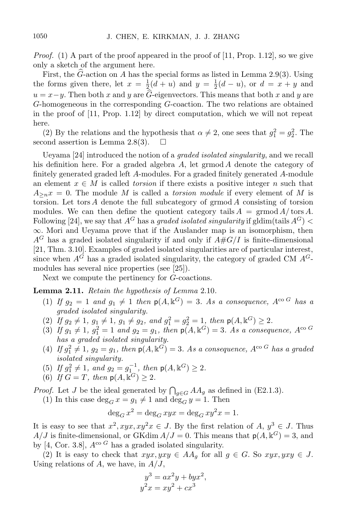*Proof.* (1) A part of the proof appeared in the proof of  $[11, Prop. 1.12]$ , so we give only a sketch of the argument here.

First, the G-action on A has the special forms as listed in Lemma 2.9(3). Using the forms given there, let  $x = \frac{1}{2}(d+u)$  and  $y = \frac{1}{2}(d-u)$ , or  $d = x + y$  and  $u = x - y$ . Then both x and y are  $\hat{G}$ -eigenvectors. This means that both x and y are G-homogeneous in the corresponding G-coaction. The two relations are obtained in the proof of [11, Prop. 1.12] by direct computation, which we will not repeat here.

(2) By the relations and the hypothesis that  $\alpha \neq 2$ , one sees that  $g_1^2 = g_2^2$ . The second assertion is Lemma 2.8(3).  $\Box$ 

Ueyama [24] introduced the notion of a graded isolated singularity, and we recall his definition here. For a graded algebra  $A$ , let grmod  $A$  denote the category of finitely generated graded left A-modules. For a graded finitely generated A-module an element  $x \in M$  is called *torsion* if there exists a positive integer n such that  $A_{\geq n}x = 0$ . The module M is called a *torsion module* if every element of M is torsion. Let tors  $A$  denote the full subcategory of grmod  $A$  consisting of torsion modules. We can then define the quotient category tails  $A = \text{grmod } A/\text{tors } A$ . Following [24], we say that  $A^G$  has a graded isolated singularity if gldim(tails  $A^G$ ) <  $\infty$ . Mori and Ueyama prove that if the Auslander map is an isomorphism, then  $A^G$  has a graded isolated singularity if and only if  $A#G/I$  is finite-dimensional [21, Thm. 3.10]. Examples of graded isolated singularities are of particular interest, since when  $A^{\tilde{G}}$  has a graded isolated singularity, the category of graded CM  $A^{\tilde{G}}$ modules has several nice properties (see [25]).

Next we compute the pertinency for G-coactions.

Lemma 2.11. Retain the hypothesis of Lemma 2.10.

- (1) If  $g_2 = 1$  and  $g_1 \neq 1$  then  $p(A, k^G) = 3$ . As a consequence,  $A^{co \ G}$  has a graded isolated singularity.
- (2) If  $g_2 \neq 1$ ,  $g_1 \neq 1$ ,  $g_1 \neq g_2$ , and  $g_1^2 = g_2^2 = 1$ , then  $p(A, \mathbb{k}^G) \geq 2$ .
- (3) If  $g_1 \neq 1$ ,  $g_1^2 = 1$  and  $g_2 = g_1$ , then  $p(A, \mathbb{k}^G) = 3$ . As a consequence,  $A^{co}$ <sup>G</sup> has a graded isolated singularity.
- (4) If  $g_1^2 \neq 1$ ,  $g_2 = g_1$ , then  $p(A, \mathbb{k}^G) = 3$ . As a consequence,  $A^{co \ G}$  has a graded isolated singularity.
- (5) If  $g_1^2 \neq 1$ , and  $g_2 = g_1^{-1}$ , then  $p(A, \mathbb{k}^G) \geq 2$ .
- (6) If  $\overline{G} = T$ , then  $p(A, \overline{k}^G) \geq 2$ .

*Proof.* Let J be the ideal generated by  $\bigcap_{g \in G} AA_g$  as defined in (E2.1.3).

(1) In this case  $\deg_G x = g_1 \neq 1$  and  $\deg_G y = 1$ . Then

$$
\deg_G x^2 = \deg_G xyx = \deg_G xy^2x = 1.
$$

It is easy to see that  $x^2, xyx, xy^2x \in J$ . By the first relation of  $A, y^3 \in J$ . Thus  $A/J$  is finite-dimensional, or GKdim  $A/J = 0$ . This means that  $p(A, \mathbb{k}^G) = 3$ , and by [4, Cor. 3.8],  $A^{\text{co }G}$  has a graded isolated singularity.

(2) It is easy to check that  $xyx, yxy \in AA_a$  for all  $g \in G$ . So  $xyx, yxy \in J$ . Using relations of  $A$ , we have, in  $A/J$ ,

$$
y3 = ax2y + byx2,
$$
  

$$
y2x = xy2 + cx3
$$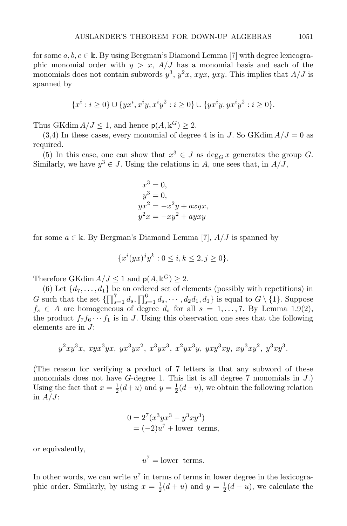for some  $a, b, c \in \mathbb{k}$ . By using Bergman's Diamond Lemma [7] with degree lexicographic monomial order with  $y > x$ ,  $A/J$  has a monomial basis and each of the monomials does not contain subwords  $y^3$ ,  $y^2x$ ,  $xyx$ ,  $yxy$ . This implies that  $A/J$  is spanned by

$$
\{x^i : i \ge 0\} \cup \{yx^i, x^iy, x^iy^2 : i \ge 0\} \cup \{yx^iy, yx^iy^2 : i \ge 0\}.
$$

Thus GKdim  $A/J \leq 1$ , and hence  $p(A, \mathbb{k}^G) \geq 2$ .

 $(3,4)$  In these cases, every monomial of degree 4 is in J. So GKdim  $A/J = 0$  as required.

(5) In this case, one can show that  $x^3 \in J$  as  $\deg_G x$  generates the group G. Similarly, we have  $y^3 \in J$ . Using the relations in A, one sees that, in  $A/J$ ,

$$
x3 = 0,
$$
  
\n
$$
y3 = 0,
$$
  
\n
$$
yx2 = -x2y + axyx,
$$
  
\n
$$
y2x = -xy2 + ayy
$$

for some  $a \in \mathbb{k}$ . By Bergman's Diamond Lemma [7],  $A/J$  is spanned by

$$
\{x^{i}(yx)^{j}y^{k}: 0 \le i, k \le 2, j \ge 0\}.
$$

Therefore GKdim  $A/J \leq 1$  and  $p(A, \mathbb{k}^G) \geq 2$ .

(6) Let  $\{d_7, \ldots, d_1\}$  be an ordered set of elements (possibly with repetitions) in G such that the set  $\{\prod_{s=1}^{7} d_s, \prod_{s=1}^{6} d_s, \cdots, d_2 d_1, d_1\}$  is equal to  $G \setminus \{1\}$ . Suppose  $f_s \in A$  are homogeneous of degree  $d_s$  for all  $s = 1, \ldots, 7$ . By Lemma 1.9(2), the product  $f_7f_6\cdots f_1$  is in J. Using this observation one sees that the following elements are in J:

$$
y^2xy^3x, xyx^3yx, yx^3yx^2, x^3yx^3, x^2yx^3y, yxy^3xy, xy^3xy^2, y^3xy^3.
$$

(The reason for verifying a product of 7 letters is that any subword of these monomials does not have  $G$ -degree 1. This list is all degree 7 monomials in  $J$ .) Using the fact that  $x = \frac{1}{2}(d+u)$  and  $y = \frac{1}{2}(d-u)$ , we obtain the following relation in  $A/J$ :

$$
0 = 27(x3yx3 - y3xy3)
$$
  
= (-2)*u*<sup>7</sup> + lower terms,

or equivalently,

 $u^7$  = lower terms.

In other words, we can write  $u^7$  in terms of terms in lower degree in the lexicographic order. Similarly, by using  $x = \frac{1}{2}(d+u)$  and  $y = \frac{1}{2}(d-u)$ , we calculate the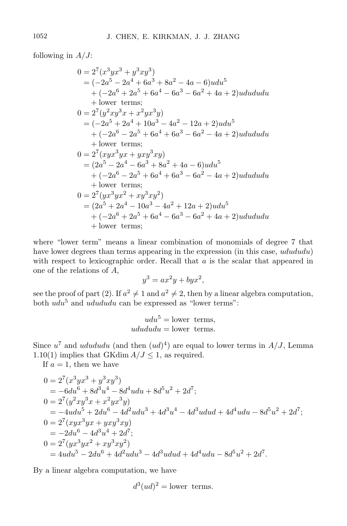following in  $A/J$ :

$$
0 = 27(x3yx3 + y3xy3)
$$
  
= (-2a<sup>5</sup> - 2a<sup>4</sup> + 6a<sup>3</sup> + 8a<sup>2</sup> - 4a - 6)udu<sup>5</sup>  
+ (-2a<sup>6</sup> + 2a<sup>5</sup> + 6a<sup>4</sup> - 6a<sup>3</sup> - 6a<sup>2</sup> + 4a + 2)udududu  
+ lower terms;  

$$
0 = 27(y2xy3x + x2yx3y)
$$
  
= (-2a<sup>5</sup> + 2a<sup>4</sup> + 10a<sup>3</sup> - 4a<sup>2</sup> - 12a + 2)udu<sup>5</sup>  
+ (-2a<sup>6</sup> - 2a<sup>5</sup> + 6a<sup>4</sup> + 6a<sup>3</sup> - 6a<sup>2</sup> - 4a + 2)udududu  
+ lower terms;  

$$
0 = 27(xyx3yx + yxy3xy)
$$
  
= (2a<sup>5</sup> - 2a<sup>4</sup> - 6a<sup>3</sup> + 8a<sup>2</sup> + 4a - 6)udu<sup>5</sup>  
+ (-2a<sup>6</sup> - 2a<sup>5</sup> + 6a<sup>4</sup> + 6a<sup>3</sup> - 6a<sup>2</sup> - 4a + 2)udududu  
+ lower terms;  

$$
0 = 27(yx3yx2 + xy3xy2)
$$
  
= (2a<sup>5</sup> + 2a<sup>4</sup> - 10a<sup>3</sup> - 4a<sup>2</sup> + 12a + 2)udu<sup>5</sup>  
+ (-2a<sup>6</sup> + 2a<sup>5</sup> + 6a<sup>4</sup> - 6a<sup>3</sup> - 6a<sup>2</sup> + 4a + 2)udududu  
+ lower terms;  
lower terms;  

$$
0 = 27(yx
$$

where "lower term" means a linear combination of monomials of degree 7 that have lower degrees than terms appearing in the expression (in this case, udududu) with respect to lexicographic order. Recall that  $a$  is the scalar that appeared in one of the relations of A,

$$
y^3 = ax^2y + byx^2,
$$

see the proof of part (2). If  $a^2 \neq 1$  and  $a^2 \neq 2$ , then by a linear algebra computation, both  $udu^5$  and  $udududu$  can be expressed as "lower terms":

$$
udu^5 = \text{lower terms},
$$
  

$$
udududu = \text{lower terms}.
$$

Since  $u^7$  and *udududu* (and then  $(ud)^4$ ) are equal to lower terms in  $A/J$ , Lemma 1.10(1) implies that GKdim  $A/J \leq 1$ , as required.

If  $a = 1$ , then we have

$$
0 = 27(x3yx3 + y3xy3)
$$
  
= -6du<sup>6</sup> + 8d<sup>3</sup>u<sup>4</sup> - 8d<sup>4</sup>udu + 8d<sup>5</sup>u<sup>2</sup> + 2d<sup>7</sup>;  

$$
0 = 27(y2xy3x + x2yx3y)
$$
  
= -4udu<sup>5</sup> + 2du<sup>6</sup> - 4d<sup>2</sup>udu<sup>3</sup> + 4d<sup>3</sup>u<sup>4</sup> - 4d<sup>3</sup>uduud + 4d<sup>4</sup>udu - 8d<sup>5</sup>u<sup>2</sup> + 2d<sup>7</sup>;  

$$
0 = 27(xyx3yx + yxy3xy)
$$
  
= -2du<sup>6</sup> - 4d<sup>3</sup>u<sup>4</sup> + 2d<sup>7</sup>;  

$$
0 = 27(yx3yx2 + xy3xy2)
$$
  
= 4udu<sup>5</sup> - 2du<sup>6</sup> + 4d<sup>2</sup>udu<sup>3</sup> - 4d<sup>3</sup>uduud + 4d<sup>4</sup>udu - 8d<sup>5</sup>u<sup>2</sup> + 2d<sup>7</sup>.

By a linear algebra computation, we have

$$
d^3(ud)^2 = \text{lower terms.}
$$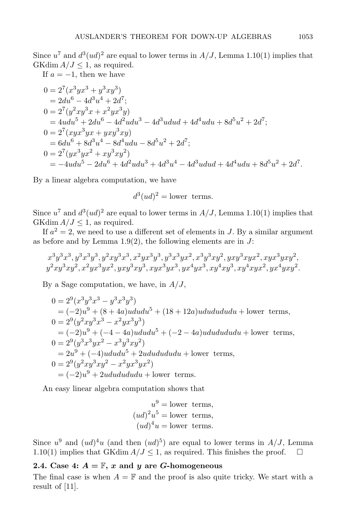Since  $u^7$  and  $d^3(ud)^2$  are equal to lower terms in  $A/J$ , Lemma 1.10(1) implies that GKdim  $A/J \leq 1$ , as required.

If  $a = -1$ , then we have

$$
0 = 2^{7}(x^{3}yx^{3} + y^{3}xy^{3})
$$
  
= 2du<sup>6</sup> - 4d<sup>3</sup>u<sup>4</sup> + 2d<sup>7</sup>;  

$$
0 = 2^{7}(y^{2}xy^{3}x + x^{2}yx^{3}y)
$$
  
= 4udu<sup>5</sup> + 2du<sup>6</sup> - 4d<sup>2</sup>udu<sup>3</sup> - 4d<sup>3</sup>udu + 4d<sup>4</sup>udu + 8d<sup>5</sup>u<sup>2</sup> + 2d<sup>7</sup>;  

$$
0 = 2^{7}(xyx^{3}yx + yxy^{3}xy)
$$
  
= 6du<sup>6</sup> + 8d<sup>3</sup>u<sup>4</sup> - 8d<sup>4</sup>udu - 8d<sup>5</sup>u<sup>2</sup> + 2d<sup>7</sup>;  

$$
0 = 2^{7}(yx^{3}yx^{2} + xy^{3}xy^{2})
$$
  
= -4udu<sup>5</sup> - 2du<sup>6</sup> + 4d<sup>2</sup>udu<sup>3</sup> + 4d<sup>3</sup>u<sup>4</sup> - 4d<sup>3</sup>udu + 4d<sup>4</sup>udu + 8d<sup>5</sup>u<sup>2</sup> + 2d<sup>7</sup>.

By a linear algebra computation, we have

$$
d^3(ud)^2 = \text{lower terms.}
$$

Since  $u^7$  and  $d^3(ud)^2$  are equal to lower terms in  $A/J$ , Lemma 1.10(1) implies that GKdim  $A/J \leq 1$ , as required.

If  $a^2 = 2$ , we need to use a different set of elements in J. By a similar argument as before and by Lemma  $1.9(2)$ , the following elements are in J:

$$
x^3y^3x^3, y^3x^3y^3, y^2xy^3x^3, x^2yx^3y^3, y^3x^3yx^2, x^3y^3xy^2, yxy^3xyx^2, xyx^3yxy^2, \\ y^2xy^3xy^2, x^2yx^3yx^2, yxy^3xy^3, xyx^3yx^3, xy^4yx^3, xy^4xy^3, xy^4xyx^2, yx^4yxy^2.
$$

By a Sage computation, we have, in  $A/J$ ,

$$
0 = 2^{9}(x^{3}y^{3}x^{3} - y^{3}x^{3}y^{3})
$$
  
= (-2)u<sup>9</sup> + (8 + 4a)ududu<sup>5</sup> + (18 + 12a)ududududu + lower terms,  

$$
0 = 2^{9}(y^{2}xy^{3}x^{3} - x^{2}yx^{3}y^{3})
$$
  
= (-2)u<sup>9</sup> + (-4 - 4a)ududu<sup>5</sup> + (-2 - 4a)ududududu + lower terms,  

$$
0 = 2^{9}(y^{3}x^{3}yx^{2} - x^{3}y^{3}xy^{2})
$$
  
= 2u<sup>9</sup> + (-4)ududu<sup>5</sup> + 2ududududu + lower terms,  

$$
0 = 2^{9}(y^{2}xy^{3}xy^{2} - x^{2}yx^{3}yx^{2})
$$
  
= (-2)u<sup>9</sup> + 2ududududu + lower terms.

An easy linear algebra computation shows that

$$
u9 = lower terms,(ud)2u5 = lower terms,(ud)4u = lower terms.
$$

Since  $u^9$  and  $(ud)^4u$  (and then  $(ud)^5$ ) are equal to lower terms in  $A/J$ , Lemma 1.10(1) implies that GKdim  $A/J \le 1$ , as required. This finishes the proof.  $\Box$ 

## 2.4. Case 4:  $A = \mathbb{F}$ , x and y are G-homogeneous

The final case is when  $A = \mathbb{F}$  and the proof is also quite tricky. We start with a result of [11].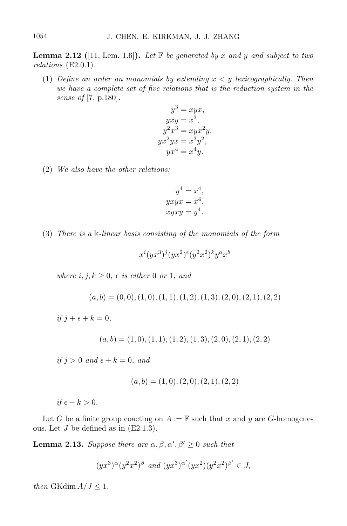**Lemma 2.12** ([11, Lem. 1.6]). Let  $\mathbb{F}$  be generated by x and y and subject to two relations (E2.0.1).

(1) Define an order on monomials by extending  $x < y$  lexicographically. Then we have a complete set of five relations that is the reduction system in the sense of [7, p.180].

$$
y3 = xyx,
$$
  
\n
$$
yxy = x3,
$$
  
\n
$$
y2x3 = xyx2y,
$$
  
\n
$$
yx2yx = x3y2,
$$
  
\n
$$
yx4 = x4y.
$$

(2) We also have the other relations:

$$
y4 = x4,\nyxyx = x4,\nxyxy = y4.
$$

(3) There is a k-linear basis consisting of the monomials of the form

$$
x^{i}(yx^3)^j(yx^2)^{\epsilon}(y^2x^2)^k y^a x^b
$$

where  $i, j, k \geq 0$ ,  $\epsilon$  is either 0 or 1, and

 $(a, b) = (0, 0), (1, 0), (1, 1), (1, 2), (1, 3), (2, 0), (2, 1), (2, 2)$ 

if  $j + \epsilon + k = 0$ ,

 $(a, b) = (1, 0), (1, 1), (1, 2), (1, 3), (2, 0), (2, 1), (2, 2)$ 

if  $j > 0$  and  $\epsilon + k = 0$ , and

$$
(a, b) = (1, 0), (2, 0), (2, 1), (2, 2)
$$

if  $\epsilon + k > 0$ .

Let G be a finite group coacting on  $A := \mathbb{F}$  such that x and y are G-homogeneous. Let  $J$  be defined as in  $(E2.1.3)$ .

**Lemma 2.13.** Suppose there are  $\alpha, \beta, \alpha', \beta' \geq 0$  such that

$$
(yx^3)^{\alpha}(y^2x^2)^{\beta}
$$
 and  $(yx^3)^{\alpha'}(yx^2)(y^2x^2)^{\beta'} \in J$ ,

then GKdim  $A/J \leq 1$ .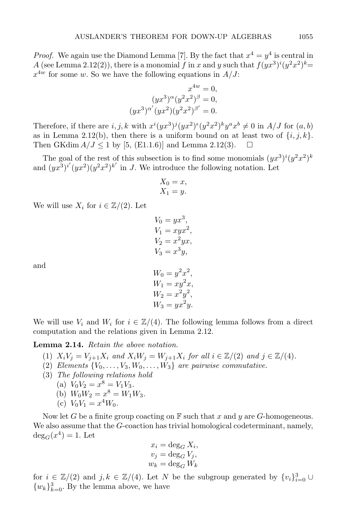*Proof.* We again use the Diamond Lemma [7]. By the fact that  $x^4 = y^4$  is central in A (see Lemma 2.12(2)), there is a monomial f in x and y such that  $f(yx^3)^i(y^2x^2)^k$  $x^{4w}$  for some w. So we have the following equations in  $A/J$ :

$$
x^{4w} = 0,
$$
  
\n
$$
(yx^3)^{\alpha}(y^2x^2)^{\beta} = 0,
$$
  
\n
$$
(yx^3)^{\alpha'}(yx^2)(y^2x^2)^{\beta'} = 0.
$$

Therefore, if there are  $i, j, k$  with  $x^{i}(yx^{3})^{j}(yx^{2})^{i}(y^{2}x^{2})^{k}y^{a}x^{b} \neq 0$  in  $A/J$  for  $(a, b)$ as in Lemma 2.12(b), then there is a uniform bound on at least two of  $\{i, j, k\}$ . Then GKdim  $A/J \le 1$  by [5, (E1.1.6)] and Lemma 2.12(3).  $\Box$ 

The goal of the rest of this subsection is to find some monomials  $(yx^3)^i(y^2x^2)^k$ and  $(yx^3)^{i'}(yx^2)(y^2x^2)^{k'}$  in J. We introduce the following notation. Let

$$
\begin{aligned} X_0 &= x, \\ X_1 &= y. \end{aligned}
$$

We will use  $X_i$  for  $i \in \mathbb{Z}/(2)$ . Let

$$
V_0 = yx^3,
$$
  
\n
$$
V_1 = xyx^2,
$$
  
\n
$$
V_2 = x^2yx,
$$
  
\n
$$
V_3 = x^3y,
$$

and

$$
W_0 = y^2 x^2,
$$
  
\n
$$
W_1 = xy^2 x,
$$
  
\n
$$
W_2 = x^2 y^2,
$$
  
\n
$$
W_3 = yx^2 y.
$$

We will use  $V_i$  and  $W_i$  for  $i \in \mathbb{Z}/(4)$ . The following lemma follows from a direct computation and the relations given in Lemma 2.12.

Lemma 2.14. Retain the above notation.

- (1)  $X_iV_j = V_{j+1}X_i$  and  $X_iW_j = W_{j+1}X_i$  for all  $i \in \mathbb{Z}/(2)$  and  $j \in \mathbb{Z}/(4)$ .
- (2) Elements  $\{V_0, \ldots, V_3, W_0, \ldots, W_3\}$  are pairwise commutative.
- (3) The following relations hold
	- (a)  $V_0V_2 = x^8 = V_1V_3$ .
	- (b)  $W_0 W_2 = x^8 = W_1 W_3$ .
	- (c)  $V_0V_1 = x^4W_0$ .

Now let G be a finite group coacting on  $\mathbb F$  such that x and y are G-homogeneous. We also assume that the G-coaction has trivial homological codeterminant, namely,  $deg_G(x^4) = 1.$  Let

$$
x_i = \deg_G X_i,
$$
  
\n
$$
v_j = \deg_G V_j,
$$
  
\n
$$
w_k = \deg_G W_k
$$

for  $i \in \mathbb{Z}/(2)$  and  $j, k \in \mathbb{Z}/(4)$ . Let N be the subgroup generated by  $\{v_i\}_{i=0}^3 \cup$  $\{w_k\}_{k=0}^3$ . By the lemma above, we have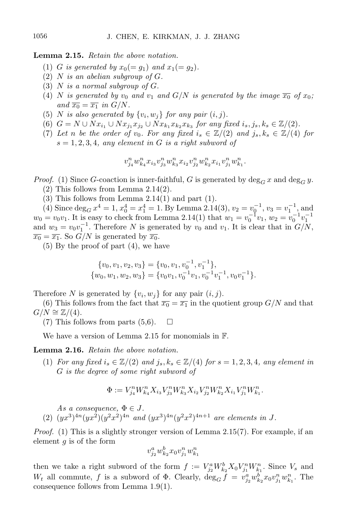Lemma 2.15. Retain the above notation.

- (1) G is generated by  $x_0(=g_1)$  and  $x_1(=g_2)$ .
- (2)  $N$  is an abelian subgroup of  $G$ .
- (3)  $N$  is a normal subgroup of  $G$ .
- (4) N is generated by  $v_0$  and  $v_1$  and  $G/N$  is generated by the image  $\overline{x_0}$  of  $x_0$ ; and  $\overline{x_0} = \overline{x_1}$  in  $G/N$ .
- (5) N is also generated by  $\{v_i, w_j\}$  for any pair  $(i, j)$ .
- (6)  $G = N \cup Nx_{i_1} \cup Nx_{j_1}x_{j_2} \cup Nx_{k_1}x_{k_2}x_{k_3}$  for any fixed  $i_s, j_s, k_s \in \mathbb{Z}/(2)$ .
- (7) Let n be the order of v<sub>0</sub>. For any fixed  $i_s \in \mathbb{Z}/(2)$  and  $j_s, k_s \in \mathbb{Z}/(4)$  for  $s = 1, 2, 3, 4$ , any element in G is a right subword of

$$
v^n_{j_4}w^n_{k_4}x_{i_3}v^n_{j_3}w^n_{k_3}x_{i_2}v^n_{j_2}w^n_{k_2}x_{i_1}v^n_{j_1}w^n_{k_1}.
$$

*Proof.* (1) Since G-coaction is inner-faithful, G is generated by  $\deg_G x$  and  $\deg_G y$ .

- (2) This follows from Lemma 2.14(2).
- $(3)$  This follows from Lemma 2.14(1) and part (1).

(4) Since  $\deg_G x^4 = 1$ ,  $x_0^4 = x_1^4 = 1$ . By Lemma 2.14(3),  $v_2 = v_0^{-1}$ ,  $v_3 = v_1^{-1}$ , and  $w_0 = v_0 v_1$ . It is easy to check from Lemma 2.14(1) that  $w_1 = v_0^{-1} v_1$ ,  $w_2 = v_0^{-1} v_1^{-1}$ and  $w_3 = v_0 v_1^{-1}$ . Therefore N is generated by  $v_0$  and  $v_1$ . It is clear that in  $G/N$ ,  $\overline{x_0} = \overline{x_1}$ . So  $G/N$  is generated by  $\overline{x_0}$ .

(5) By the proof of part (4), we have

$$
\{v_0, v_1, v_2, v_3\} = \{v_0, v_1, v_0^{-1}, v_1^{-1}\}, \n\{w_0, w_1, w_2, w_3\} = \{v_0v_1, v_0^{-1}v_1, v_0^{-1}v_1^{-1}, v_0v_1^{-1}\}.
$$

Therefore N is generated by  $\{v_i, w_j\}$  for any pair  $(i, j)$ .

(6) This follows from the fact that  $\overline{x_0} = \overline{x_1}$  in the quotient group  $G/N$  and that  $G/N \cong \mathbb{Z}/(4)$ .

(7) This follows from parts  $(5,6)$ .  $\Box$ 

We have a version of Lemma 2.15 for monomials in F.

#### Lemma 2.16. Retain the above notation.

(1) For any fixed  $i_s \in \mathbb{Z}/(2)$  and  $j_s, k_s \in \mathbb{Z}/(4)$  for  $s = 1, 2, 3, 4$ , any element in G is the degree of some right subword of

$$
\Phi:=V_{j_4}^n W_{k_4}^n X_{i_3} V_{j_3}^n W_{k_3}^n X_{i_2} V_{j_2}^n W_{k_2}^n X_{i_1} V_{j_1}^n W_{k_1}^n.
$$

As a consequence,  $\Phi \in J$ . (2)  $(yx^3)^{4n}(yx^2)(y^2x^2)^{4n}$  and  $(yx^3)^{4n}(y^2x^2)^{4n+1}$  are elements in J.

Proof. (1) This is a slightly stronger version of Lemma 2.15(7). For example, if an element  $q$  is of the form

$$
v_{j_2}^a w_{k_2}^b x_0 v_{j_1}^n w_{k_1}^n
$$

then we take a right subword of the form  $f := V_{j_2}^a W_{k_2}^b X_0 V_{j_1}^n W_{k_1}^n$ . Since  $V_s$  and  $W_t$  all commute, f is a subword of  $\Phi$ . Clearly,  $\deg_G f = v_{j_2}^a w_{k_2}^b x_0 v_{j_1}^n w_{k_1}^n$ . The consequence follows from Lemma 1.9(1).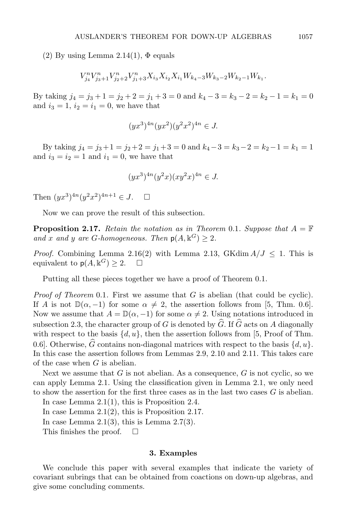(2) By using Lemma 2.14(1),  $\Phi$  equals

$$
V_{j_4}^n V_{j_3+1}^n V_{j_2+2}^n V_{j_1+3}^n X_{i_3} X_{i_2} X_{i_1} W_{k_4-3} W_{k_3-2} W_{k_2-1} W_{k_1}.
$$

By taking  $j_4 = j_3 + 1 = j_2 + 2 = j_1 + 3 = 0$  and  $k_4 - 3 = k_3 - 2 = k_2 - 1 = k_1 = 0$ and  $i_3 = 1$ ,  $i_2 = i_1 = 0$ , we have that

$$
(yx^3)^{4n}(yx^2)(y^2x^2)^{4n} \in J.
$$

By taking  $j_4 = j_3 + 1 = j_2 + 2 = j_1 + 3 = 0$  and  $k_4 - 3 = k_3 - 2 = k_2 - 1 = k_1 = 1$ and  $i_3 = i_2 = 1$  and  $i_1 = 0$ , we have that

$$
(yx^3)^{4n}(y^2x)(xy^2x)^{4n} \in J.
$$

Then  $(yx^3)^{4n}(y^2x^2)^{4n+1} \in J$ .  $\square$ 

Now we can prove the result of this subsection.

**Proposition 2.17.** Retain the notation as in Theorem 0.1. Suppose that  $A = \mathbb{F}$ and x and y are G-homogeneous. Then  $p(A, k^G) \geq 2$ .

*Proof.* Combining Lemma 2.16(2) with Lemma 2.13, GKdim  $A/J \le 1$ . This is equivalent to  $p(A, \mathbb{k}^G) \geq 2$ .  $\Box$ 

Putting all these pieces together we have a proof of Theorem 0.1.

*Proof of Theorem* 0.1. First we assume that  $G$  is abelian (that could be cyclic). If A is not  $\mathbb{D}(\alpha, -1)$  for some  $\alpha \neq 2$ , the assertion follows from [5, Thm. 0.6]. Now we assume that  $A = \mathbb{D}(\alpha, -1)$  for some  $\alpha \neq 2$ . Using notations introduced in subsection 2.3, the character group of G is denoted by  $\widehat{G}$ . If  $\widehat{G}$  acts on A diagonally with respect to the basis  $\{d, u\}$ , then the assertion follows from [5, Proof of Thm. 0.6]. Otherwise,  $\widehat{G}$  contains non-diagonal matrices with respect to the basis  $\{d, u\}$ . In this case the assertion follows from Lemmas 2.9, 2.10 and 2.11. This takes care of the case when  $G$  is abelian.

Next we assume that  $G$  is not abelian. As a consequence,  $G$  is not cyclic, so we can apply Lemma 2.1. Using the classification given in Lemma 2.1, we only need to show the assertion for the first three cases as in the last two cases  $G$  is abelian.

In case Lemma 2.1(1), this is Proposition 2.4. In case Lemma 2.1(2), this is Proposition 2.17. In case Lemma  $2.1(3)$ , this is Lemma  $2.7(3)$ . This finishes the proof.  $\square$ 

#### 3. Examples

We conclude this paper with several examples that indicate the variety of covariant subrings that can be obtained from coactions on down-up algebras, and give some concluding comments.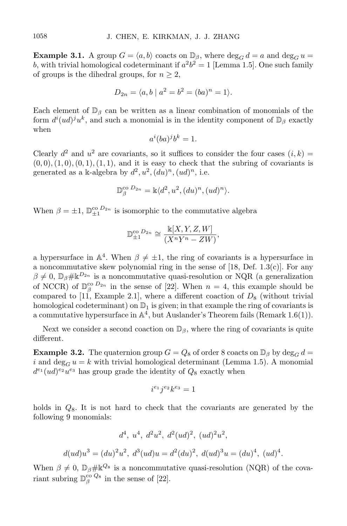**Example 3.1.** A group  $G = \langle a, b \rangle$  coacts on  $\mathbb{D}_{\beta}$ , where  $\deg_G d = a$  and  $\deg_G u =$ b, with trivial homological codeterminant if  $a^2b^2 = 1$  [Lemma 1.5]. One such family of groups is the dihedral groups, for  $n \geq 2$ ,

$$
D_{2n} = \langle a, b \mid a^2 = b^2 = (ba)^n = 1 \rangle.
$$

Each element of  $\mathbb{D}_{\beta}$  can be written as a linear combination of monomials of the form  $d^{i}(ud)^{j}u^{k}$ , and such a monomial is in the identity component of  $\mathbb{D}_{\beta}$  exactly when

$$
a^i(ba)^j b^k = 1.
$$

Clearly  $d^2$  and  $u^2$  are covariants, so it suffices to consider the four cases  $(i, k)$  $(0, 0), (1, 0), (0, 1), (1, 1),$  and it is easy to check that the subring of covariants is generated as a k-algebra by  $d^2$ ,  $u^2$ ,  $(du)^n$ ,  $(ud)^n$ , i.e.

$$
\mathbb{D}_{\beta}^{\text{co }D_{2n}} = \mathbb{k}\langle d^2, u^2, (du)^n, (ud)^n \rangle.
$$

When  $\beta = \pm 1$ ,  $\mathbb{D}_{\pm 1}^{\infty}$  D<sub>2n</sub> is isomorphic to the commutative algebra

$$
\mathbb{D}_{\pm 1}^{\text{co }D_{2n}} \cong \frac{\mathbb{k}[X, Y, Z, W]}{(X^n Y^n - ZW)},
$$

a hypersurface in  $\mathbb{A}^4$ . When  $\beta \neq \pm 1$ , the ring of covariants is a hypersurface in a noncommutative skew polynomial ring in the sense of  $[18,$  Def. 1.3(c)]. For any  $\beta \neq 0$ ,  $\mathbb{D}_{\beta}\# \mathbb{K}^{D_{2n}}$  is a noncommutative quasi-resolution or NQR (a generalization of NCCR) of  $\mathbb{D}_{\beta}^{\text{co}}$   $D_{2n}$  in the sense of [22]. When  $n = 4$ , this example should be compared to [11, Example 2.1], where a different coaction of  $D_8$  (without trivial homological codeterminant) on  $\mathbb{D}_1$  is given; in that example the ring of covariants is a commutative hypersurface in  $\mathbb{A}^4$ , but Auslander's Theorem fails (Remark 1.6(1)).

Next we consider a second coaction on  $\mathbb{D}_{\beta}$ , where the ring of covariants is quite different.

**Example 3.2.** The quaternion group  $G = Q_8$  of order 8 coacts on  $\mathbb{D}_{\beta}$  by deg<sub>G</sub> d = i and  $\deg_G u = k$  with trivial homological determinant (Lemma 1.5). A monomial  $d^{e_1}(ud)^{e_2}u^{e_3}$  has group grade the identity of  $Q_8$  exactly when

$$
i^{e_1}j^{e_2}k^{e_3}=1
$$

holds in  $Q_8$ . It is not hard to check that the covariants are generated by the following 9 monomials:

$$
d^4, u^4, d^2u^2, d^2(ud)^2, (ud)^2u^2,
$$
  

$$
d(ud)u^3 = (du)^2u^2, d^3(ud)u = d^2(du)^2, d(ud)^3u = (du)^4, (ud)^4
$$

.

When  $\beta \neq 0$ ,  $\mathbb{D}_{\beta} \# \mathbb{K}^{Q_8}$  is a noncommutative quasi-resolution (NQR) of the covariant subring  $\mathbb{D}_{\beta}^{\text{co }Q_8}$  in the sense of [22].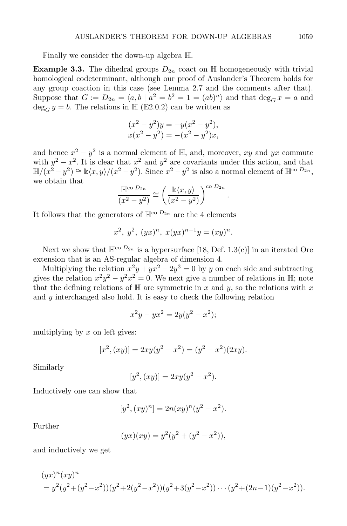Finally we consider the down-up algebra H.

**Example 3.3.** The dihedral groups  $D_{2n}$  coact on  $\mathbb{H}$  homogeneously with trivial homological codeterminant, although our proof of Auslander's Theorem holds for any group coaction in this case (see Lemma 2.7 and the comments after that). Suppose that  $G := D_{2n} = \langle a, b \mid a^2 = b^2 = 1 = (ab)^n \rangle$  and that  $\deg_G x = a$  and  $\deg_G y = b$ . The relations in  $\mathbb{H}$  (E2.0.2) can be written as

$$
(x2 - y2)y = -y(x2 - y2),
$$
  
\n
$$
x(x2 - y2) = -(x2 - y2)x,
$$

and hence  $x^2 - y^2$  is a normal element of  $\mathbb{H}$ , and, moreover, xy and yx commute with  $y^2 - x^2$ . It is clear that  $x^2$  and  $y^2$  are covariants under this action, and that  $\mathbb{H}/(x^2-y^2) \cong \mathbb{k}\langle x,y\rangle/(x^2-y^2)$ . Since  $x^2-y^2$  is also a normal element of  $\mathbb{H}^{\text{co }D_{2n}}$ , we obtain that

$$
\frac{\mathbb{H}^{\text{co }D_{2n}}}{(x^2-y^2)} \cong \left(\frac{\Bbbk\langle x,y\rangle}{(x^2-y^2)}\right)^{\text{co }D_{2n}}.
$$

It follows that the generators of  $\mathbb{H}^{\infty}$   $D_{2n}$  are the 4 elements

$$
x^2
$$
,  $y^2$ ,  $(yx)^n$ ,  $x(yx)^{n-1}y = (xy)^n$ .

Next we show that  $\mathbb{H}^{\infty}$   $^{D_{2n}}$  is a hypersurface [18, Def. 1.3(c)] in an iterated Ore extension that is an AS-regular algebra of dimension 4.

Multiplying the relation  $x^2y + yx^2 - 2y^3 = 0$  by y on each side and subtracting gives the relation  $x^2y^2 - y^2x^2 = 0$ . We next give a number of relations in H; note that the defining relations of  $\mathbb H$  are symmetric in x and y, so the relations with x and y interchanged also hold. It is easy to check the following relation

$$
x^2y - yx^2 = 2y(y^2 - x^2);
$$

multiplying by  $x$  on left gives:

$$
[x2, (xy)] = 2xy(y2 - x2) = (y2 - x2)(2xy).
$$

Similarly

$$
[y^2, (xy)] = 2xy(y^2 - x^2).
$$

Inductively one can show that

$$
[y^2, (xy)^n] = 2n(xy)^n(y^2 - x^2).
$$

Further

$$
(yx)(xy) = y^2(y^2 + (y^2 - x^2)),
$$

and inductively we get

$$
(yx)^n (xy)^n
$$
  
=  $y^2(y^2 + (y^2 - x^2))(y^2 + 2(y^2 - x^2))(y^2 + 3(y^2 - x^2)) \cdots (y^2 + (2n - 1)(y^2 - x^2)).$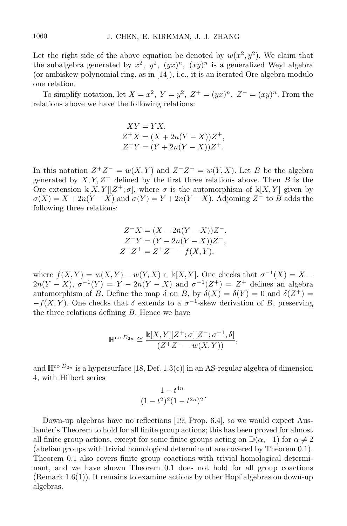Let the right side of the above equation be denoted by  $w(x^2, y^2)$ . We claim that the subalgebra generated by  $x^2$ ,  $y^2$ ,  $(yx)^n$ ,  $(xy)^n$  is a generalized Weyl algebra (or ambiskew polynomial ring, as in [14]), i.e., it is an iterated Ore algebra modulo one relation.

To simplify notation, let  $X = x^2$ ,  $Y = y^2$ ,  $Z^+ = (yx)^n$ ,  $Z^- = (xy)^n$ . From the relations above we have the following relations:

$$
XY = YX,
$$
  
\n
$$
Z^{+}X = (X + 2n(Y - X))Z^{+},
$$
  
\n
$$
Z^{+}Y = (Y + 2n(Y - X))Z^{+}.
$$

In this notation  $Z^+Z^- = w(X,Y)$  and  $Z^-Z^+ = w(Y,X)$ . Let B be the algebra generated by  $X, Y, Z^+$  defined by the first three relations above. Then B is the Ore extension  $\mathbb{k}[X,Y][Z^+;\sigma]$ , where  $\sigma$  is the automorphism of  $\mathbb{k}[X,Y]$  given by  $\sigma(X) = X + 2n(Y - X)$  and  $\sigma(Y) = Y + 2n(Y - X)$ . Adjoining Z<sup>-</sup> to B adds the following three relations:

$$
Z^{-}X = (X - 2n(Y - X))Z^{-},
$$
  
\n
$$
Z^{-}Y = (Y - 2n(Y - X))Z^{-},
$$
  
\n
$$
Z^{-}Z^{+} = Z^{+}Z^{-} - f(X,Y).
$$

where  $f(X,Y) = w(X,Y) - w(Y,X) \in \mathbb{k}[X,Y]$ . One checks that  $\sigma^{-1}(X) = X$  $2n(Y - X), \sigma^{-1}(Y) = Y - 2n(Y - X)$  and  $\sigma^{-1}(Z^+) = Z^+$  defines an algebra automorphism of B. Define the map  $\delta$  on B, by  $\delta(X) = \delta(Y) = 0$  and  $\delta(Z^+) =$  $-f(X, Y)$ . One checks that  $\delta$  extends to a  $\sigma^{-1}$ -skew derivation of B, preserving the three relations defining  $B$ . Hence we have

$$
\mathbb{H}^{\text{co }D_{2n}} \cong \frac{\mathbb{k}[X,Y][Z^+;\sigma][Z^-;\sigma^{-1},\delta]}{(Z^+Z^--w(X,Y))},
$$

and  $\mathbb{H}^{\infty}$  D<sub>2n</sub> is a hypersurface [18, Def. 1.3(c)] in an AS-regular algebra of dimension 4, with Hilbert series

$$
\frac{1-t^{4n}}{(1-t^2)^2(1-t^{2n})^2}.
$$

Down-up algebras have no reflections [19, Prop. 6.4], so we would expect Auslander's Theorem to hold for all finite group actions; this has been proved for almost all finite group actions, except for some finite groups acting on  $\mathbb{D}(\alpha, -1)$  for  $\alpha \neq 2$ (abelian groups with trivial homological determinant are covered by Theorem 0.1). Theorem 0.1 also covers finite group coactions with trivial homological determinant, and we have shown Theorem 0.1 does not hold for all group coactions  $(Remark 1.6(1))$ . It remains to examine actions by other Hopf algebras on down-up algebras.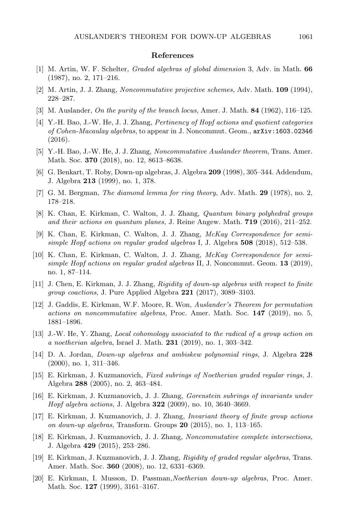#### References

- [1] M. Artin, W. F. Schelter, Graded algebras of global dimension 3, Adv. in Math. 66 (1987), no. 2, 171–216.
- [2] M. Artin, J. J. Zhang, Noncommutative projective schemes, Adv. Math. 109 (1994), 228–287.
- [3] M. Auslander, On the purity of the branch locus, Amer. J. Math. 84 (1962), 116–125.
- [4] Y.-H. Bao, J.-W. He, J. J. Zhang, Pertinency of Hopf actions and quotient categories of Cohen-Macaulay algebras, to appear in J. Noncommut. Geom., arXiv:1603.02346 (2016).
- [5] Y.-H. Bao, J.-W. He, J. J. Zhang, Noncommutative Auslander theorem, Trans. Amer. Math. Soc. **370** (2018), no. 12, 8613-8638.
- [6] G. Benkart, T. Roby, Down-up algebras, J. Algebra 209 (1998), 305–344. Addendum, J. Algebra 213 (1999), no. 1, 378.
- [7] G. M. Bergman, The diamond lemma for ring theory, Adv. Math. 29 (1978), no. 2, 178–218.
- [8] K. Chan, E. Kirkman, C. Walton, J. J. Zhang, Quantum binary polyhedral groups and their actions on quantum planes, J. Reine Angew. Math. 719 (2016), 211–252.
- [9] K. Chan, E. Kirkman, C. Walton, J. J. Zhang, McKay Correspondence for semisimple Hopf actions on regular graded algebras I, J. Algebra  $508$  (2018), 512–538.
- [10] K. Chan, E. Kirkman, C. Walton, J. J. Zhang, McKay Correspondence for semisimple Hopf actions on regular graded algebras  $II, J.$  Noncommut. Geom. 13 (2019), no. 1, 87–114.
- [11] J. Chen, E. Kirkman, J. J. Zhang, Rigidity of down-up algebras with respect to finite group coactions, J. Pure Applied Algebra 221 (2017), 3089–3103.
- [12] J. Gaddis, E. Kirkman, W.F. Moore, R. Won, Auslander's Theorem for permutation actions on noncommutative algebras, Proc. Amer. Math. Soc. 147 (2019), no. 5, 1881–1896.
- [13] J.-W. He, Y. Zhang, Local cohomology associated to the radical of a group action on a noetherian algebra, Israel J. Math. 231 (2019), no. 1, 303–342.
- [14] D. A. Jordan, Down-up algebras and ambiskew polynomial rings, J. Algebra 228 (2000), no. 1, 311–346.
- [15] E. Kirkman, J. Kuzmanovich, Fixed subrings of Noetherian graded regular rings, J. Algebra 288 (2005), no. 2, 463–484.
- [16] E. Kirkman, J. Kuzmanovich, J. J. Zhang, Gorenstein subrings of invariants under Hopf algebra actions, J. Algebra 322 (2009), no. 10, 3640–3669.
- [17] E. Kirkman, J. Kuzmanovich, J. J. Zhang, Invariant theory of finite group actions on down-up algebras, Transform. Groups 20 (2015), no. 1, 113–165.
- [18] E. Kirkman, J. Kuzmanovich, J. J. Zhang, Noncommutative complete intersections, J. Algebra 429 (2015), 253–286.
- [19] E. Kirkman, J. Kuzmanovich, J. J. Zhang, Rigidity of graded regular algebras, Trans. Amer. Math. Soc. 360 (2008), no. 12, 6331–6369.
- [20] E. Kirkman, I. Musson, D. Passman,Noetherian down-up algebras, Proc. Amer. Math. Soc. **127** (1999), 3161–3167.